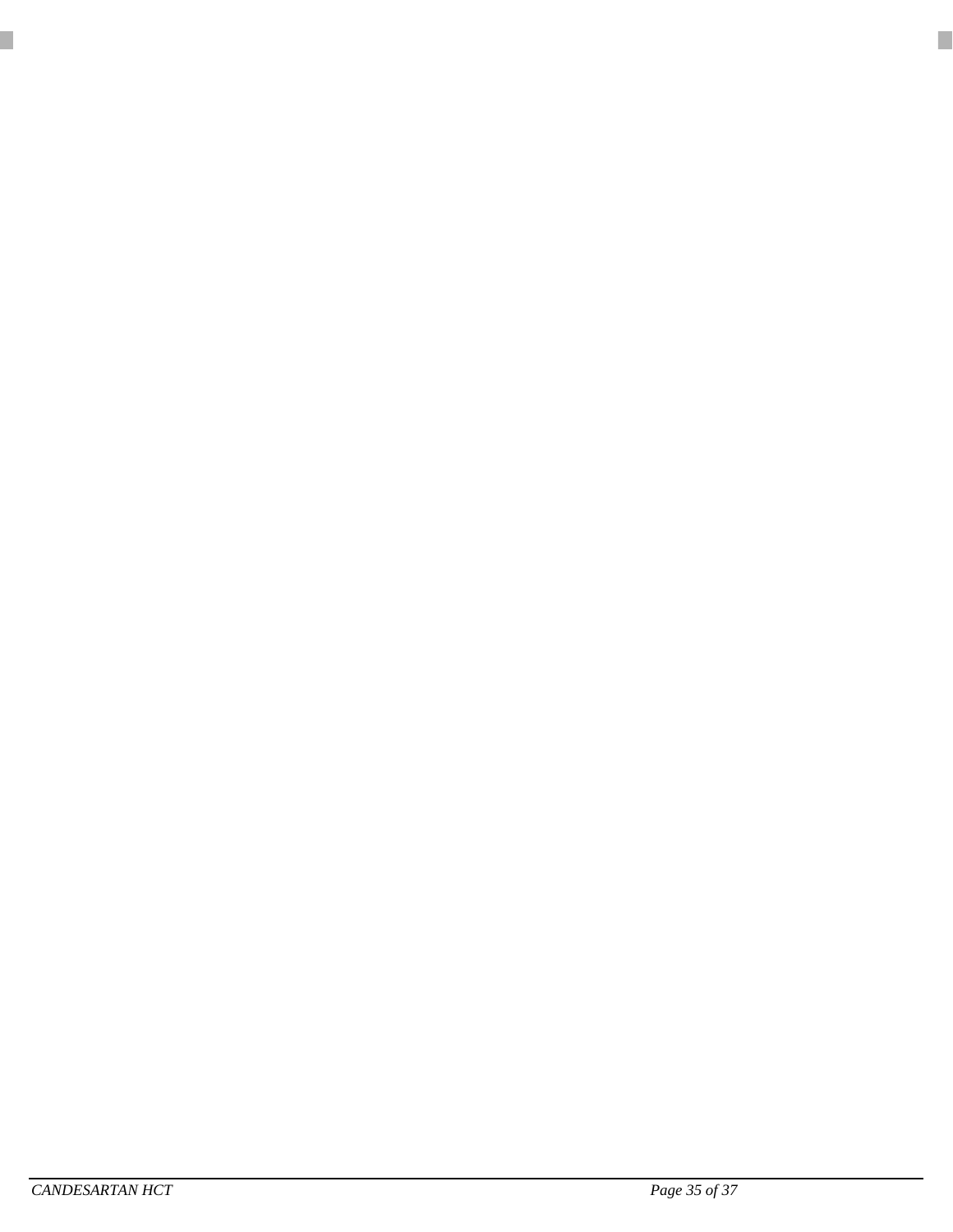

ı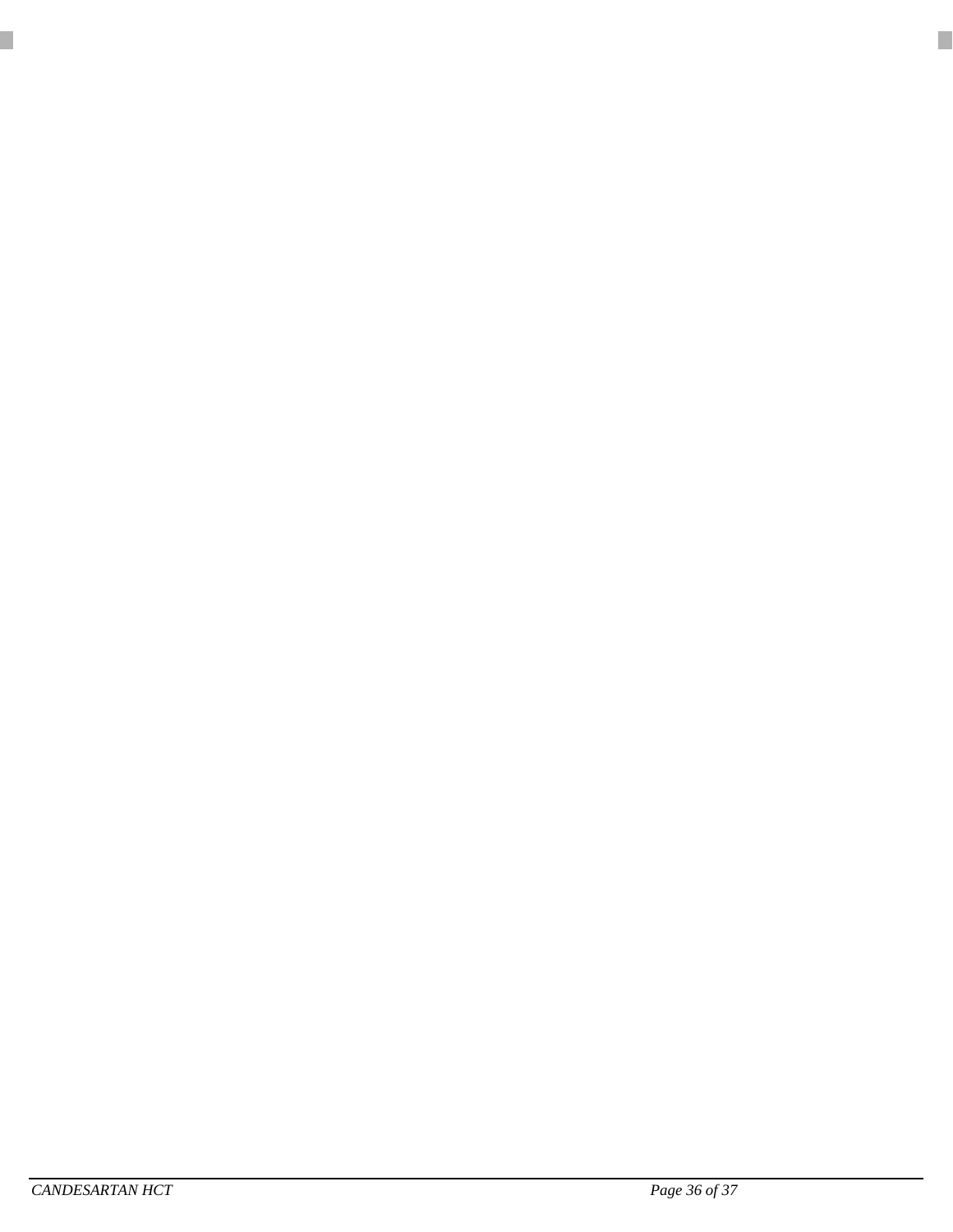

ı